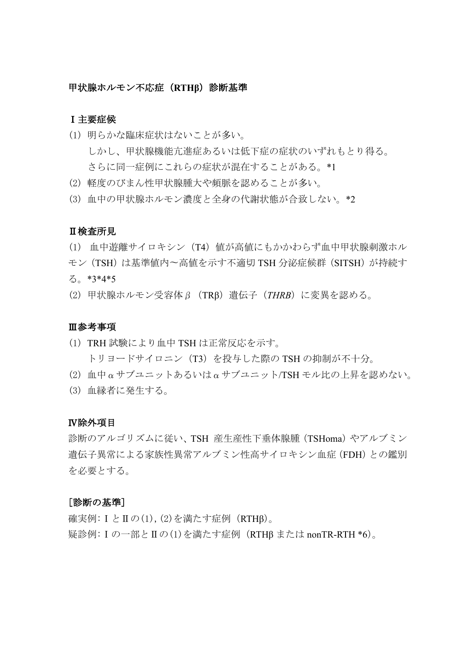### 甲状腺ホルモン不応症(**RTHβ**)診断基準

### Ⅰ主要症候

- (1) 明らかな臨床症状はないことが多い。 しかし、甲状腺機能亢進症あるいは低下症の症状のいずれもとり得る。 さらに同一症例にこれらの症状が混在することがある。\*1
- (2) 軽度のびまん性甲状腺腫大や頻脈を認めることが多い。
- (3) 血中の甲状腺ホルモン濃度と全身の代謝状態が合致しない。\*2

### Ⅱ検査所見

- (1) 血中遊離サイロキシン(T4)値が高値にもかかわらず血中甲状腺刺激ホル モン (TSH)は基準値内〜高値を示す不適切 TSH 分泌症候群 (SITSH) が持続す る。\*3\*4\*5
- (2) 甲状腺ホルモン受容体β(TRβ)遺伝子(*THRB*)に変異を認める。

### Ⅲ参考事項

- (1) TRH 試験により血中 TSH は正常反応を示す。 トリヨードサイロニン (T3) を投与した際の TSH の抑制が不十分。
- (2) 血中αサブユニットあるいはαサブユニット/TSH モル比の上昇を認めない。
- (3) 血縁者に発生する。

### Ⅳ除外項目

診断のアルゴリズムに従い、TSH 産生産性下垂体腺腫(TSHoma)やアルブミン 遺伝子異常による家族性異常アルブミン性高サイロキシン血症(FDH)との鑑別 を必要とする。

#### [診断の基準]

確実例:ⅠとⅡの(1),(2)を満たす症例(RTHβ)。 疑診例:Ⅰの一部とⅡの(1)を満たす症例(RTHβ または nonTR-RTH \*6)。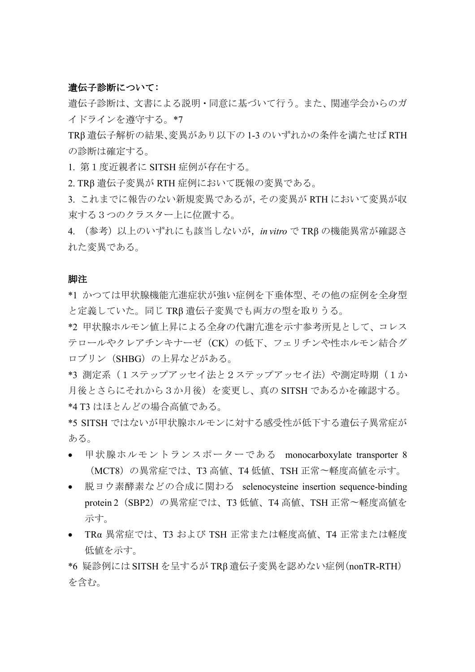## 遺伝子診断について:

遺伝子診断は、文書による説明・同意に基づいて行う。また、関連学会からのガ イドラインを遵守する。\*7

TRβ 遺伝子解析の結果、変異があり以下の 1-3 のいずれかの条件を満たせば RTH の診断は確定する。

1. 第1度近親者に SITSH 症例が存在する。

2. TRβ 遺伝子変異が RTH 症例において既報の変異である。

3. これまでに報告のない新規変異であるが,その変異が RTH において変異が収 束する3つのクラスター上に位置する。

4. (参考)以上のいずれにも該当しないが,*in vitro* で TRβ の機能異常が確認さ れた変異である。

#### 脚注

\*1 かつては甲状腺機能亢進症状が強い症例を下垂体型、その他の症例を全身型 と定義していた。同じ TRβ 遺伝子変異でも両方の型を取りうる。

\*2 甲状腺ホルモン値上昇による全身の代謝亢進を示す参考所見として、コレス テロールやクレアチンキナーゼ(CK)の低下、フェリチンや性ホルモン結合グ ロブリン(SHBG)の上昇などがある。

\*3 測定系(1ステップアッセイ法と2ステップアッセイ法)や測定時期(1か 月後とさらにそれから3か月後)を変更し、真の SITSH であるかを確認する。 \*4 T3 はほとんどの場合高値である。

\*5 SITSH ではないが甲状腺ホルモンに対する感受性が低下する遺伝子異常症が ある。

- 甲状腺ホルモントランスポーターである monocarboxylate transporter 8 (MCT8)の異常症では、T3 高値、T4 低値、TSH 正常〜軽度高値を示す。
- 脱ヨウ素酵素などの合成に関わる selenocysteine insertion sequence-binding protein 2 (SBP2) の異常症では、T3 低値、T4 高値、TSH 正常〜軽度高値を 示す。
- TRα 異常症では、T3 および TSH 正常または軽度高値、T4 正常または軽度 低値を示す。

\*6 疑診例には SITSH を呈するが TRβ 遺伝子変異を認めない症例(nonTR-RTH) を含む。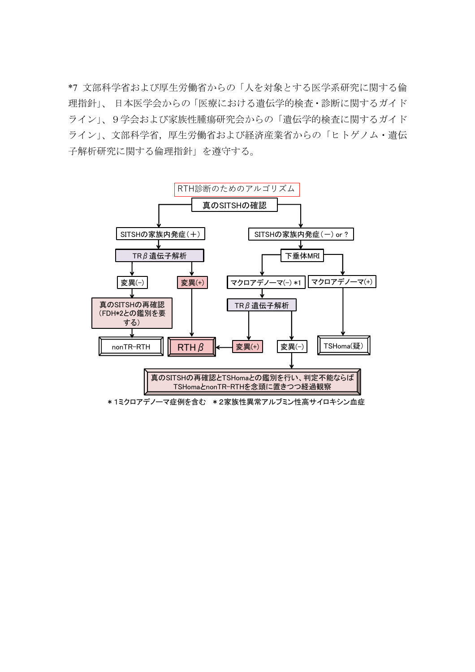\*7 文部科学省および厚生労働省からの「人を対象とする医学系研究に関する倫 理指針」、 日本医学会からの「医療における遺伝学的検査・診断に関するガイド ライン」、9学会および家族性腫瘍研究会からの「遺伝学的検査に関するガイド ライン」、文部科学省,厚生労働省および経済産業省からの「ヒトゲノム・遺伝 子解析研究に関する倫理指針」を遵守する。

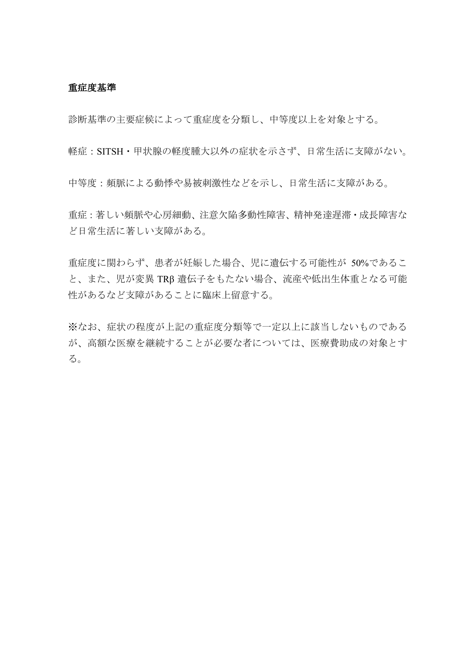### 重症度基準

診断基準の主要症候によって重症度を分類し、中等度以上を対象とする。

軽症:SITSH・甲状腺の軽度腫大以外の症状を示さず、日常生活に支障がない。

中等度:頻脈による動悸や易被刺激性などを示し、日常生活に支障がある。

重症:著しい頻脈や心房細動、注意欠陥多動性障害、精神発達遅滞・成長障害な ど日常生活に著しい支障がある。

重症度に関わらず、患者が妊娠した場合、児に遺伝する可能性が 50%であるこ と、また、児が変異 TRβ 遺伝子をもたない場合、流産や低出生体重となる可能 性があるなど支障があることに臨床上留意する。

※なお、症状の程度が上記の重症度分類等で一定以上に該当しないものである が、高額な医療を継続することが必要な者については、医療費助成の対象とす る。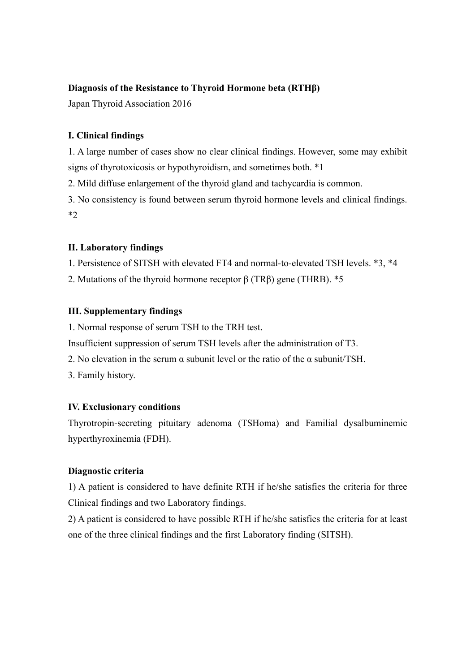# **Diagnosis of the Resistance to Thyroid Hormone beta (RTHβ)**

Japan Thyroid Association 2016

# **I. Clinical findings**

1. A large number of cases show no clear clinical findings. However, some may exhibit signs of thyrotoxicosis or hypothyroidism, and sometimes both. \*1

2. Mild diffuse enlargement of the thyroid gland and tachycardia is common.

3. No consistency is found between serum thyroid hormone levels and clinical findings. \*2

## **II. Laboratory findings**

1. Persistence of SITSH with elevated FT4 and normal-to-elevated TSH levels. \*3, \*4

2. Mutations of the thyroid hormone receptor  $\beta$  (TR $\beta$ ) gene (THRB). \*5

## **III. Supplementary findings**

1. Normal response of serum TSH to the TRH test.

Insufficient suppression of serum TSH levels after the administration of T3.

2. No elevation in the serum  $\alpha$  subunit level or the ratio of the  $\alpha$  subunit/TSH.

3. Family history.

# **IV. Exclusionary conditions**

Thyrotropin-secreting pituitary adenoma (TSHoma) and Familial dysalbuminemic hyperthyroxinemia (FDH).

# **Diagnostic criteria**

1) A patient is considered to have definite RTH if he/she satisfies the criteria for three Clinical findings and two Laboratory findings.

2) A patient is considered to have possible RTH if he/she satisfies the criteria for at least one of the three clinical findings and the first Laboratory finding (SITSH).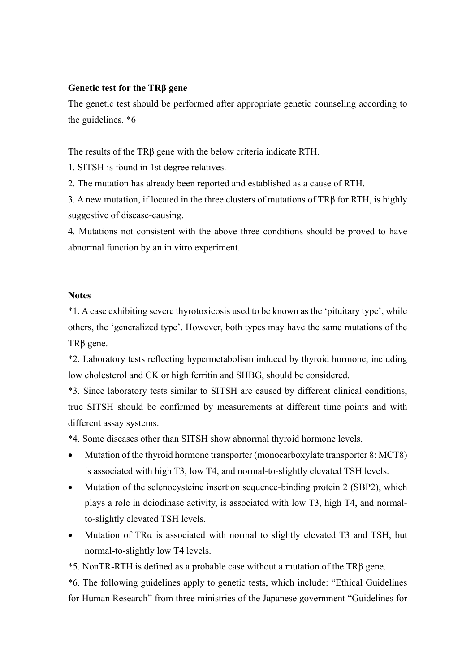## **Genetic test for the TRβ gene**

The genetic test should be performed after appropriate genetic counseling according to the guidelines. \*6

The results of the TRβ gene with the below criteria indicate RTH.

1. SITSH is found in 1st degree relatives.

2. The mutation has already been reported and established as a cause of RTH.

3. A new mutation, if located in the three clusters of mutations of TRβ for RTH, is highly suggestive of disease-causing.

4. Mutations not consistent with the above three conditions should be proved to have abnormal function by an in vitro experiment.

## **Notes**

\*1. A case exhibiting severe thyrotoxicosis used to be known as the 'pituitary type', while others, the 'generalized type'. However, both types may have the same mutations of the TRβ gene.

\*2. Laboratory tests reflecting hypermetabolism induced by thyroid hormone, including low cholesterol and CK or high ferritin and SHBG, should be considered.

\*3. Since laboratory tests similar to SITSH are caused by different clinical conditions, true SITSH should be confirmed by measurements at different time points and with different assay systems.

\*4. Some diseases other than SITSH show abnormal thyroid hormone levels.

- Mutation of the thyroid hormone transporter (monocarboxylate transporter 8: MCT8) is associated with high T3, low T4, and normal-to-slightly elevated TSH levels.
- Mutation of the selenocysteine insertion sequence-binding protein 2 (SBP2), which plays a role in deiodinase activity, is associated with low T3, high T4, and normalto-slightly elevated TSH levels.
- Mutation of TRα is associated with normal to slightly elevated T3 and TSH, but normal-to-slightly low T4 levels.

\*5. NonTR-RTH is defined as a probable case without a mutation of the TRβ gene.

\*6. The following guidelines apply to genetic tests, which include: "Ethical Guidelines for Human Research" from three ministries of the Japanese government "Guidelines for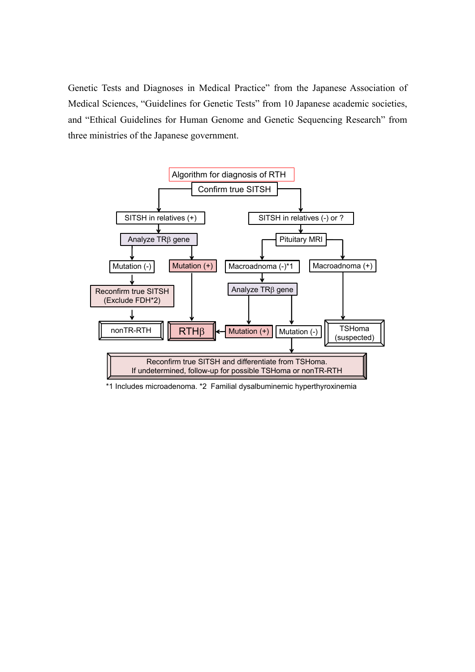Genetic Tests and Diagnoses in Medical Practice" from the Japanese Association of Medical Sciences, "Guidelines for Genetic Tests" from 10 Japanese academic societies, and "Ethical Guidelines for Human Genome and Genetic Sequencing Research" from three ministries of the Japanese government.



\*1 Includes microadenoma. \*2 Familial dysalbuminemic hyperthyroxinemia